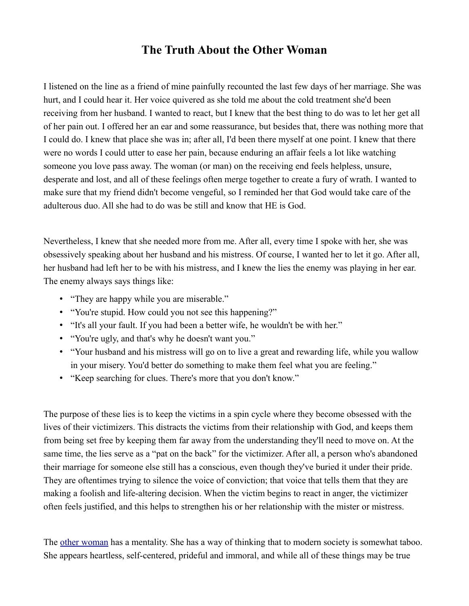## **The Truth About the Other Woman**

I listened on the line as a friend of mine painfully recounted the last few days of her marriage. She was hurt, and I could hear it. Her voice quivered as she told me about the cold treatment she'd been receiving from her husband. I wanted to react, but I knew that the best thing to do was to let her get all of her pain out. I offered her an ear and some reassurance, but besides that, there was nothing more that I could do. I knew that place she was in; after all, I'd been there myself at one point. I knew that there were no words I could utter to ease her pain, because enduring an affair feels a lot like watching someone you love pass away. The woman (or man) on the receiving end feels helpless, unsure, desperate and lost, and all of these feelings often merge together to create a fury of wrath. I wanted to make sure that my friend didn't become vengeful, so I reminded her that God would take care of the adulterous duo. All she had to do was be still and know that HE is God.

Nevertheless, I knew that she needed more from me. After all, every time I spoke with her, she was obsessively speaking about her husband and his mistress. Of course, I wanted her to let it go. After all, her husband had left her to be with his mistress, and I knew the lies the enemy was playing in her ear. The enemy always says things like:

- "They are happy while you are miserable."
- "You're stupid. How could you not see this happening?"
- "It's all your fault. If you had been a better wife, he wouldn't be with her."
- "You're ugly, and that's why he doesn't want you."
- "Your husband and his mistress will go on to live a great and rewarding life, while you wallow in your misery. You'd better do something to make them feel what you are feeling."
- "Keep searching for clues. There's more that you don't know."

The purpose of these lies is to keep the victims in a spin cycle where they become obsessed with the lives of their victimizers. This distracts the victims from their relationship with God, and keeps them from being set free by keeping them far away from the understanding they'll need to move on. At the same time, the lies serve as a "pat on the back" for the victimizer. After all, a person who's abandoned their marriage for someone else still has a conscious, even though they've buried it under their pride. They are oftentimes trying to silence the voice of conviction; that voice that tells them that they are making a foolish and life-altering decision. When the victim begins to react in anger, the victimizer often feels justified, and this helps to strengthen his or her relationship with the mister or mistress.

The [other woman](http://web.archive.org/web/20150920222755/http://www.examiner.com/topic/other-woman) has a mentality. She has a way of thinking that to modern society is somewhat taboo. She appears heartless, self-centered, prideful and immoral, and while all of these things may be true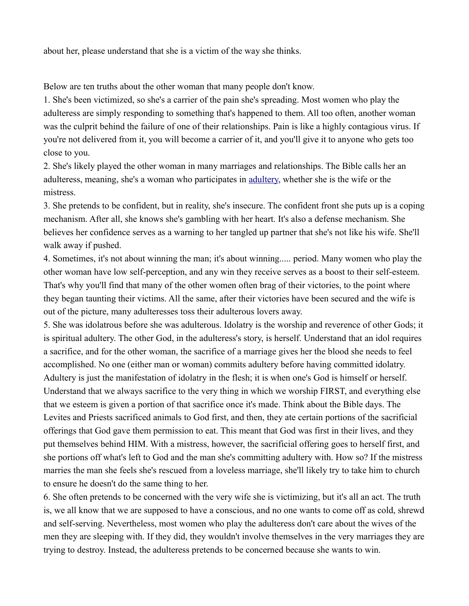about her, please understand that she is a victim of the way she thinks.

Below are ten truths about the other woman that many people don't know.

1. She's been victimized, so she's a carrier of the pain she's spreading. Most women who play the adulteress are simply responding to something that's happened to them. All too often, another woman was the culprit behind the failure of one of their relationships. Pain is like a highly contagious virus. If you're not delivered from it, you will become a carrier of it, and you'll give it to anyone who gets too close to you.

2. She's likely played the other woman in many marriages and relationships. The Bible calls her an adulteress, meaning, she's a woman who participates in [adultery,](http://web.archive.org/web/20150920222755/http://www.examiner.com/topic/adultery) whether she is the wife or the mistress.

3. She pretends to be confident, but in reality, she's insecure. The confident front she puts up is a coping mechanism. After all, she knows she's gambling with her heart. It's also a defense mechanism. She believes her confidence serves as a warning to her tangled up partner that she's not like his wife. She'll walk away if pushed.

4. Sometimes, it's not about winning the man; it's about winning..... period. Many women who play the other woman have low self-perception, and any win they receive serves as a boost to their self-esteem. That's why you'll find that many of the other women often brag of their victories, to the point where they began taunting their victims. All the same, after their victories have been secured and the wife is out of the picture, many adulteresses toss their adulterous lovers away.

5. She was idolatrous before she was adulterous. Idolatry is the worship and reverence of other Gods; it is spiritual adultery. The other God, in the adulteress's story, is herself. Understand that an idol requires a sacrifice, and for the other woman, the sacrifice of a marriage gives her the blood she needs to feel accomplished. No one (either man or woman) commits adultery before having committed idolatry. Adultery is just the manifestation of idolatry in the flesh; it is when one's God is himself or herself. Understand that we always sacrifice to the very thing in which we worship FIRST, and everything else that we esteem is given a portion of that sacrifice once it's made. Think about the Bible days. The Levites and Priests sacrificed animals to God first, and then, they ate certain portions of the sacrificial offerings that God gave them permission to eat. This meant that God was first in their lives, and they put themselves behind HIM. With a mistress, however, the sacrificial offering goes to herself first, and she portions off what's left to God and the man she's committing adultery with. How so? If the mistress marries the man she feels she's rescued from a loveless marriage, she'll likely try to take him to church to ensure he doesn't do the same thing to her.

6. She often pretends to be concerned with the very wife she is victimizing, but it's all an act. The truth is, we all know that we are supposed to have a conscious, and no one wants to come off as cold, shrewd and self-serving. Nevertheless, most women who play the adulteress don't care about the wives of the men they are sleeping with. If they did, they wouldn't involve themselves in the very marriages they are trying to destroy. Instead, the adulteress pretends to be concerned because she wants to win.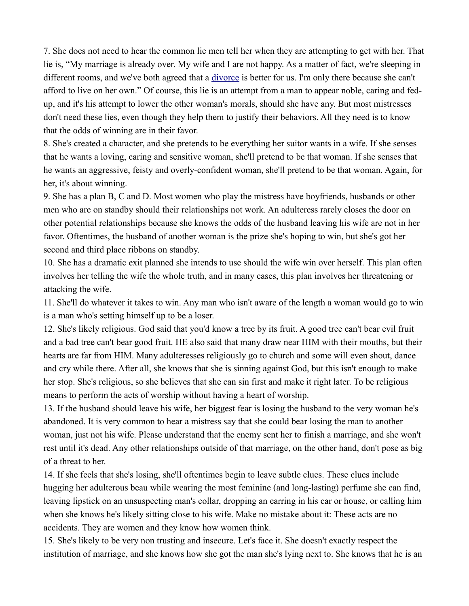7. She does not need to hear the common lie men tell her when they are attempting to get with her. That lie is, "My marriage is already over. My wife and I are not happy. As a matter of fact, we're sleeping in different rooms, and we've both agreed that a [divorce](http://web.archive.org/web/20150920222755/http://www.examiner.com/divorce) is better for us. I'm only there because she can't afford to live on her own." Of course, this lie is an attempt from a man to appear noble, caring and fedup, and it's his attempt to lower the other woman's morals, should she have any. But most mistresses don't need these lies, even though they help them to justify their behaviors. All they need is to know that the odds of winning are in their favor.

8. She's created a character, and she pretends to be everything her suitor wants in a wife. If she senses that he wants a loving, caring and sensitive woman, she'll pretend to be that woman. If she senses that he wants an aggressive, feisty and overly-confident woman, she'll pretend to be that woman. Again, for her, it's about winning.

9. She has a plan B, C and D. Most women who play the mistress have boyfriends, husbands or other men who are on standby should their relationships not work. An adulteress rarely closes the door on other potential relationships because she knows the odds of the husband leaving his wife are not in her favor. Oftentimes, the husband of another woman is the prize she's hoping to win, but she's got her second and third place ribbons on standby.

10. She has a dramatic exit planned she intends to use should the wife win over herself. This plan often involves her telling the wife the whole truth, and in many cases, this plan involves her threatening or attacking the wife.

11. She'll do whatever it takes to win. Any man who isn't aware of the length a woman would go to win is a man who's setting himself up to be a loser.

12. She's likely religious. God said that you'd know a tree by its fruit. A good tree can't bear evil fruit and a bad tree can't bear good fruit. HE also said that many draw near HIM with their mouths, but their hearts are far from HIM. Many adulteresses religiously go to church and some will even shout, dance and cry while there. After all, she knows that she is sinning against God, but this isn't enough to make her stop. She's religious, so she believes that she can sin first and make it right later. To be religious means to perform the acts of worship without having a heart of worship.

13. If the husband should leave his wife, her biggest fear is losing the husband to the very woman he's abandoned. It is very common to hear a mistress say that she could bear losing the man to another woman, just not his wife. Please understand that the enemy sent her to finish a marriage, and she won't rest until it's dead. Any other relationships outside of that marriage, on the other hand, don't pose as big of a threat to her.

14. If she feels that she's losing, she'll oftentimes begin to leave subtle clues. These clues include hugging her adulterous beau while wearing the most feminine (and long-lasting) perfume she can find, leaving lipstick on an unsuspecting man's collar, dropping an earring in his car or house, or calling him when she knows he's likely sitting close to his wife. Make no mistake about it: These acts are no accidents. They are women and they know how women think.

15. She's likely to be very non trusting and insecure. Let's face it. She doesn't exactly respect the institution of marriage, and she knows how she got the man she's lying next to. She knows that he is an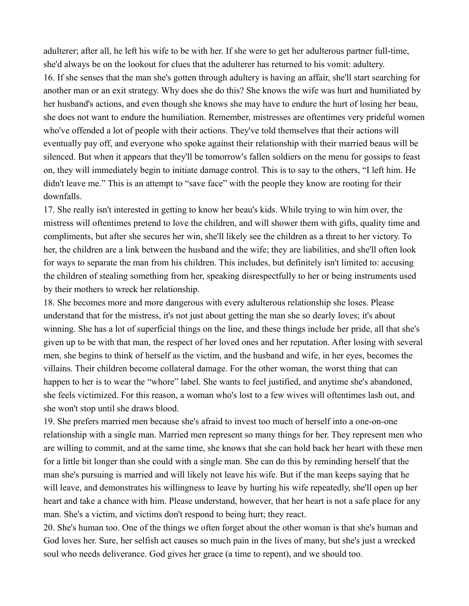adulterer; after all, he left his wife to be with her. If she were to get her adulterous partner full-time, she'd always be on the lookout for clues that the adulterer has returned to his vomit: adultery. 16. If she senses that the man she's gotten through adultery is having an affair, she'll start searching for another man or an exit strategy. Why does she do this? She knows the wife was hurt and humiliated by her husband's actions, and even though she knows she may have to endure the hurt of losing her beau, she does not want to endure the humiliation. Remember, mistresses are oftentimes very prideful women who've offended a lot of people with their actions. They've told themselves that their actions will eventually pay off, and everyone who spoke against their relationship with their married beaus will be silenced. But when it appears that they'll be tomorrow's fallen soldiers on the menu for gossips to feast on, they will immediately begin to initiate damage control. This is to say to the others, "I left him. He didn't leave me." This is an attempt to "save face" with the people they know are rooting for their downfalls.

17. She really isn't interested in getting to know her beau's kids. While trying to win him over, the mistress will oftentimes pretend to love the children, and will shower them with gifts, quality time and compliments, but after she secures her win, she'll likely see the children as a threat to her victory. To her, the children are a link between the husband and the wife; they are liabilities, and she'll often look for ways to separate the man from his children. This includes, but definitely isn't limited to: accusing the children of stealing something from her, speaking disrespectfully to her or being instruments used by their mothers to wreck her relationship.

18. She becomes more and more dangerous with every adulterous relationship she loses. Please understand that for the mistress, it's not just about getting the man she so dearly loves; it's about winning. She has a lot of superficial things on the line, and these things include her pride, all that she's given up to be with that man, the respect of her loved ones and her reputation. After losing with several men, she begins to think of herself as the victim, and the husband and wife, in her eyes, becomes the villains. Their children become collateral damage. For the other woman, the worst thing that can happen to her is to wear the "whore" label. She wants to feel justified, and anytime she's abandoned, she feels victimized. For this reason, a woman who's lost to a few wives will oftentimes lash out, and she won't stop until she draws blood.

19. She prefers married men because she's afraid to invest too much of herself into a one-on-one relationship with a single man. Married men represent so many things for her. They represent men who are willing to commit, and at the same time, she knows that she can hold back her heart with these men for a little bit longer than she could with a single man. She can do this by reminding herself that the man she's pursuing is married and will likely not leave his wife. But if the man keeps saying that he will leave, and demonstrates his willingness to leave by hurting his wife repeatedly, she'll open up her heart and take a chance with him. Please understand, however, that her heart is not a safe place for any man. She's a victim, and victims don't respond to being hurt; they react.

20. She's human too. One of the things we often forget about the other woman is that she's human and God loves her. Sure, her selfish act causes so much pain in the lives of many, but she's just a wrecked soul who needs deliverance. God gives her grace (a time to repent), and we should too.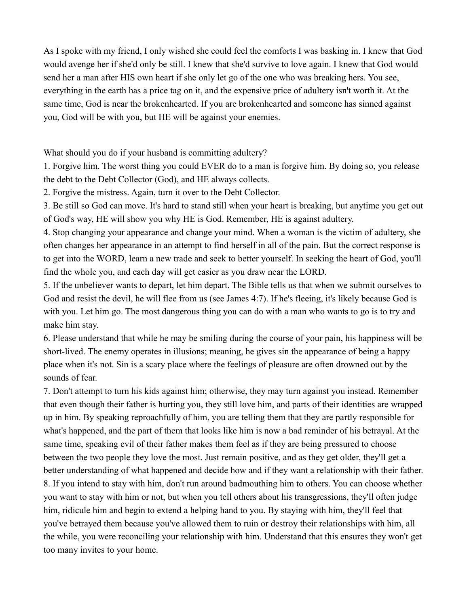As I spoke with my friend, I only wished she could feel the comforts I was basking in. I knew that God would avenge her if she'd only be still. I knew that she'd survive to love again. I knew that God would send her a man after HIS own heart if she only let go of the one who was breaking hers. You see, everything in the earth has a price tag on it, and the expensive price of adultery isn't worth it. At the same time, God is near the brokenhearted. If you are brokenhearted and someone has sinned against you, God will be with you, but HE will be against your enemies.

What should you do if your husband is committing adultery?

1. Forgive him. The worst thing you could EVER do to a man is forgive him. By doing so, you release the debt to the Debt Collector (God), and HE always collects.

2. Forgive the mistress. Again, turn it over to the Debt Collector.

3. Be still so God can move. It's hard to stand still when your heart is breaking, but anytime you get out of God's way, HE will show you why HE is God. Remember, HE is against adultery.

4. Stop changing your appearance and change your mind. When a woman is the victim of adultery, she often changes her appearance in an attempt to find herself in all of the pain. But the correct response is to get into the WORD, learn a new trade and seek to better yourself. In seeking the heart of God, you'll find the whole you, and each day will get easier as you draw near the LORD.

5. If the unbeliever wants to depart, let him depart. The Bible tells us that when we submit ourselves to God and resist the devil, he will flee from us (see James 4:7). If he's fleeing, it's likely because God is with you. Let him go. The most dangerous thing you can do with a man who wants to go is to try and make him stay.

6. Please understand that while he may be smiling during the course of your pain, his happiness will be short-lived. The enemy operates in illusions; meaning, he gives sin the appearance of being a happy place when it's not. Sin is a scary place where the feelings of pleasure are often drowned out by the sounds of fear.

7. Don't attempt to turn his kids against him; otherwise, they may turn against you instead. Remember that even though their father is hurting you, they still love him, and parts of their identities are wrapped up in him. By speaking reproachfully of him, you are telling them that they are partly responsible for what's happened, and the part of them that looks like him is now a bad reminder of his betrayal. At the same time, speaking evil of their father makes them feel as if they are being pressured to choose between the two people they love the most. Just remain positive, and as they get older, they'll get a better understanding of what happened and decide how and if they want a relationship with their father. 8. If you intend to stay with him, don't run around badmouthing him to others. You can choose whether you want to stay with him or not, but when you tell others about his transgressions, they'll often judge him, ridicule him and begin to extend a helping hand to you. By staying with him, they'll feel that you've betrayed them because you've allowed them to ruin or destroy their relationships with him, all the while, you were reconciling your relationship with him. Understand that this ensures they won't get too many invites to your home.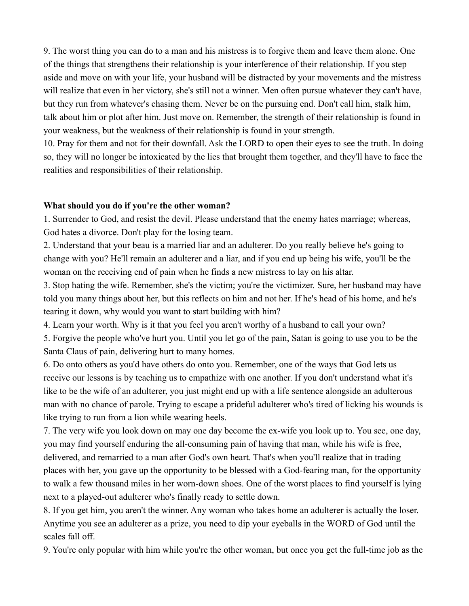9. The worst thing you can do to a man and his mistress is to forgive them and leave them alone. One of the things that strengthens their relationship is your interference of their relationship. If you step aside and move on with your life, your husband will be distracted by your movements and the mistress will realize that even in her victory, she's still not a winner. Men often pursue whatever they can't have, but they run from whatever's chasing them. Never be on the pursuing end. Don't call him, stalk him, talk about him or plot after him. Just move on. Remember, the strength of their relationship is found in your weakness, but the weakness of their relationship is found in your strength.

10. Pray for them and not for their downfall. Ask the LORD to open their eyes to see the truth. In doing so, they will no longer be intoxicated by the lies that brought them together, and they'll have to face the realities and responsibilities of their relationship.

## **What should you do if you're the other woman?**

1. Surrender to God, and resist the devil. Please understand that the enemy hates marriage; whereas, God hates a divorce. Don't play for the losing team.

2. Understand that your beau is a married liar and an adulterer. Do you really believe he's going to change with you? He'll remain an adulterer and a liar, and if you end up being his wife, you'll be the woman on the receiving end of pain when he finds a new mistress to lay on his altar.

3. Stop hating the wife. Remember, she's the victim; you're the victimizer. Sure, her husband may have told you many things about her, but this reflects on him and not her. If he's head of his home, and he's tearing it down, why would you want to start building with him?

4. Learn your worth. Why is it that you feel you aren't worthy of a husband to call your own?

5. Forgive the people who've hurt you. Until you let go of the pain, Satan is going to use you to be the Santa Claus of pain, delivering hurt to many homes.

6. Do onto others as you'd have others do onto you. Remember, one of the ways that God lets us receive our lessons is by teaching us to empathize with one another. If you don't understand what it's like to be the wife of an adulterer, you just might end up with a life sentence alongside an adulterous man with no chance of parole. Trying to escape a prideful adulterer who's tired of licking his wounds is like trying to run from a lion while wearing heels.

7. The very wife you look down on may one day become the ex-wife you look up to. You see, one day, you may find yourself enduring the all-consuming pain of having that man, while his wife is free, delivered, and remarried to a man after God's own heart. That's when you'll realize that in trading places with her, you gave up the opportunity to be blessed with a God-fearing man, for the opportunity to walk a few thousand miles in her worn-down shoes. One of the worst places to find yourself is lying next to a played-out adulterer who's finally ready to settle down.

8. If you get him, you aren't the winner. Any woman who takes home an adulterer is actually the loser. Anytime you see an adulterer as a prize, you need to dip your eyeballs in the WORD of God until the scales fall off.

9. You're only popular with him while you're the other woman, but once you get the full-time job as the